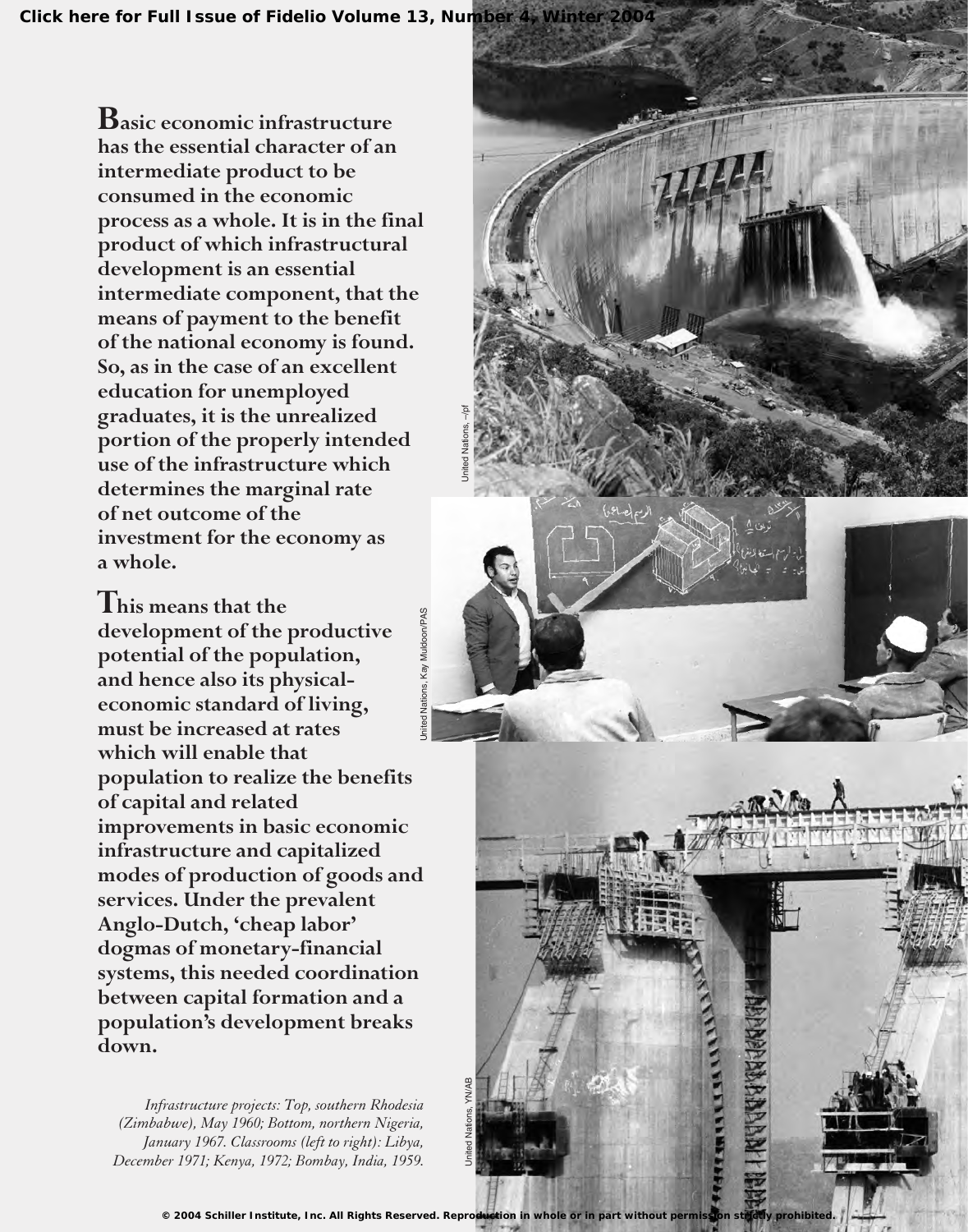**[Click here for Full Issue of Fidelio Volume 13, Number 4, Winter 2004](http://schillerinstitute.org/fidelio_archive/2004/fidv13n04-2004Wi/index.html)**

**Basic economic infrastructure has the essential character of an intermediate product to be consumed in the economic process as a whole. It is in the final product of which infrastructural development is an essential intermediate component, that the means of payment to the benefit of the national economy is found. So, as in the case of an excellent education for unemployed graduates, it is the unrealized portion of the properly intended use of the infrastructure which determines the marginal rate of net outcome of the investment for the economy as a whole.**

**This means that the development of the productive potential of the population, and hence also its physicaleconomic standard of living, must be increased at rates which will enable that population to realize the benefits of capital and related improvements in basic economic infrastructure and capitalized modes of production of goods and services. Under the prevalent Anglo-Dutch, 'cheap labor' dogmas of monetary-financial systems, this needed coordination between capital formation and a population's development breaks down.** *December 1971; Kenya, 1967, Clasroom (left to right).*<br> *December 1971; Kenya, 1972; Bombay, December 1971; Kenya, 1979; Bombay, December 1971; Kenya, 1972; Bombay, December 1971; Kenya, 1972; Bombay, India, 1979.<br>
Decemb* 

*Infrastructure projects: Top, southern Rhodesia (Zimbabwe), May 1960; Bottom, northern Nigeria, January 1967. Classrooms (left to right): Libya,*

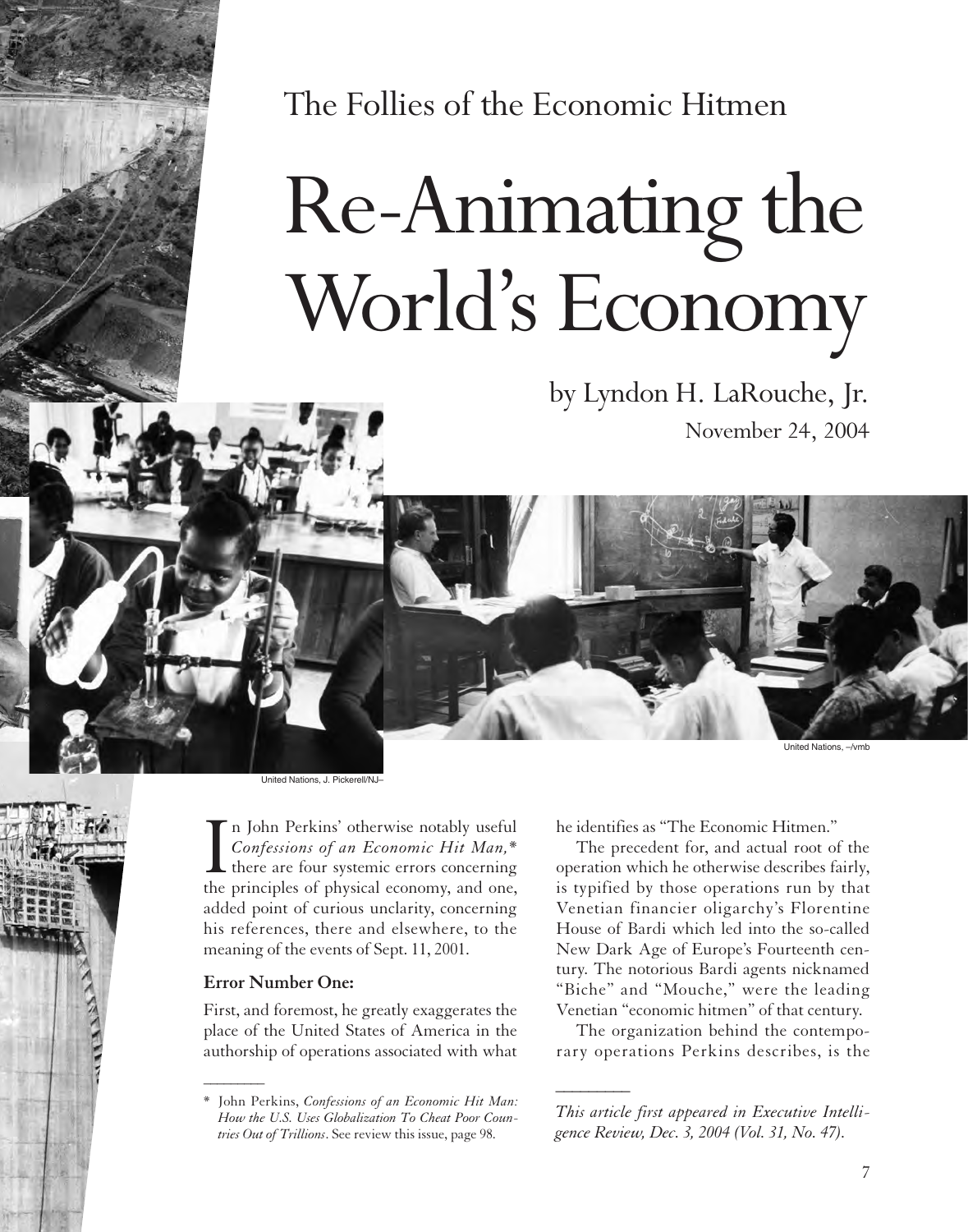The Follies of the Economic Hitmen

# Re-Animating the World's Economy

by Lyndon H. LaRouche, Jr. November 24, 2004

United Nations, J. Pickerell/NJ–

In John Perkins' otherwise notably useful<br>Confessions of an Economic Hit Man,\*<br>there are four systemic errors concerning<br>the principles of physical economy, and one, n John Perkins' otherwise notably useful *Confessions of an Economic Hit Man,*\* there are four systemic errors concerning added point of curious unclarity, concerning his references, there and elsewhere, to the meaning of the events of Sept. 11, 2001.

#### **Error Number One:**

 $\overline{\phantom{a}}$ 

First, and foremost, he greatly exaggerates the place of the United States of America in the authorship of operations associated with what he identifies as "The Economic Hitmen."

The precedent for, and actual root of the operation which he otherwise describes fairly, is typified by those operations run by that Venetian financier oligarchy's Florentine House of Bardi which led into the so-called New Dark Age of Europe's Fourteenth century. The notorious Bardi agents nicknamed "Biche" and "Mouche," were the leading Venetian "economic hitmen" of that century.

The organization behind the contemporary operations Perkins describes, is the

*This article first appeared in Executive Intelligence Review, Dec. 3, 2004 (Vol. 31, No. 47).*

*\_\_\_\_\_\_\_\_\_*

United Nations, –/vmb

<sup>\*</sup> John Perkins, *Confessions of an Economic Hit Man: How the U.S. Uses Globalization To Cheat Poor Countries Out of Trillions*. See review this issue, page 98.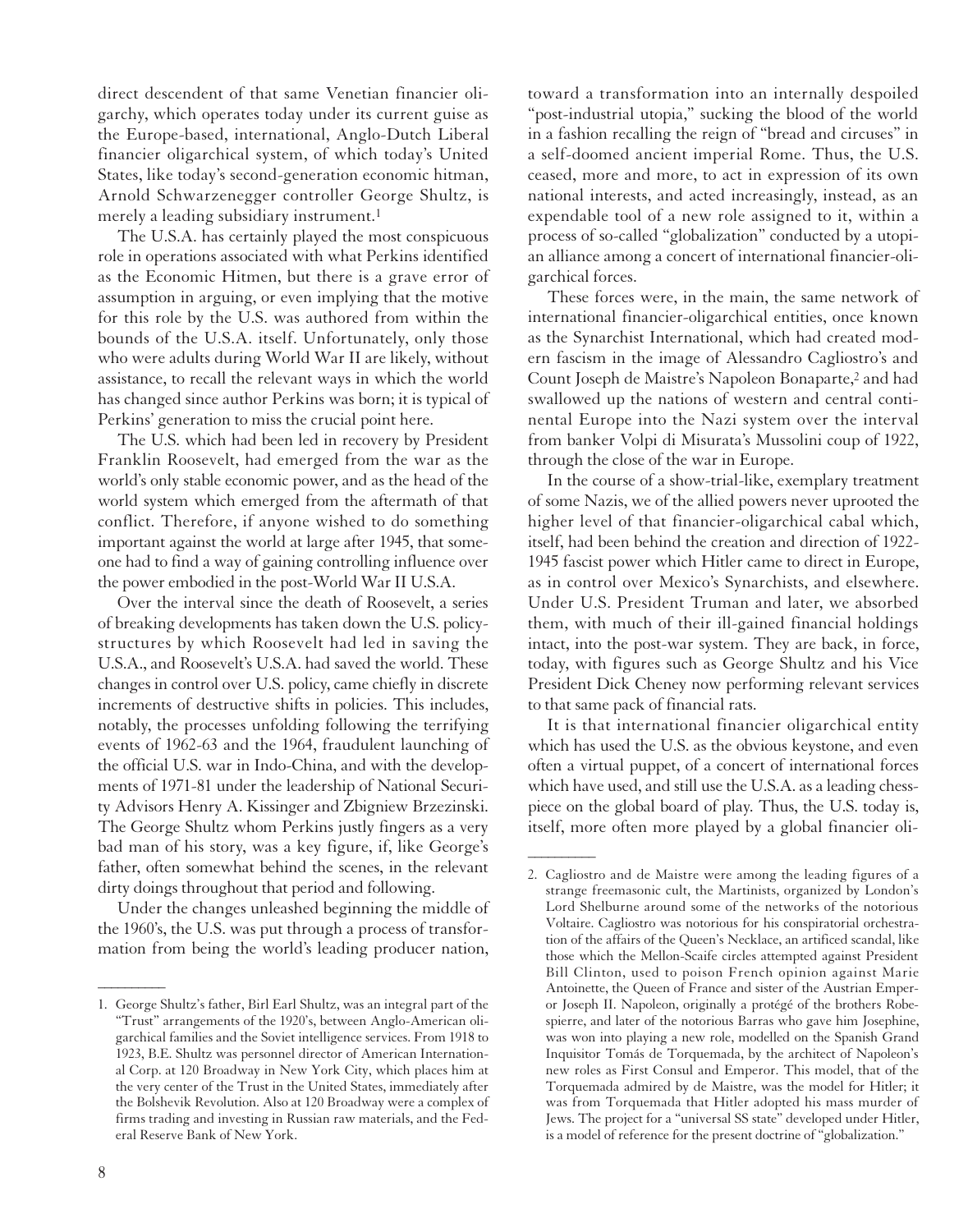direct descendent of that same Venetian financier oligarchy, which operates today under its current guise as the Europe-based, international, Anglo-Dutch Liberal financier oligarchical system, of which today's United States, like today's second-generation economic hitman, Arnold Schwarzenegger controller George Shultz, is merely a leading subsidiary instrument.1

The U.S.A. has certainly played the most conspicuous role in operations associated with what Perkins identified as the Economic Hitmen, but there is a grave error of assumption in arguing, or even implying that the motive for this role by the U.S. was authored from within the bounds of the U.S.A. itself. Unfortunately, only those who were adults during World War II are likely, without assistance, to recall the relevant ways in which the world has changed since author Perkins was born; it is typical of Perkins' generation to miss the crucial point here.

The U.S. which had been led in recovery by President Franklin Roosevelt, had emerged from the war as the world's only stable economic power, and as the head of the world system which emerged from the aftermath of that conflict. Therefore, if anyone wished to do something important against the world at large after 1945, that someone had to find a way of gaining controlling influence over the power embodied in the post-World War II U.S.A.

Over the interval since the death of Roosevelt, a series of breaking developments has taken down the U.S. policystructures by which Roosevelt had led in saving the U.S.A., and Roosevelt's U.S.A. had saved the world. These changes in control over U.S. policy, came chiefly in discrete increments of destructive shifts in policies. This includes, notably, the processes unfolding following the terrifying events of 1962-63 and the 1964, fraudulent launching of the official U.S. war in Indo-China, and with the developments of 1971-81 under the leadership of National Security Advisors Henry A. Kissinger and Zbigniew Brzezinski. The George Shultz whom Perkins justly fingers as a very bad man of his story, was a key figure, if, like George's father, often somewhat behind the scenes, in the relevant dirty doings throughout that period and following.

Under the changes unleashed beginning the middle of the 1960's, the U.S. was put through a process of transformation from being the world's leading producer nation,

toward a transformation into an internally despoiled "post-industrial utopia," sucking the blood of the world in a fashion recalling the reign of "bread and circuses" in a self-doomed ancient imperial Rome. Thus, the U.S. ceased, more and more, to act in expression of its own national interests, and acted increasingly, instead, as an expendable tool of a new role assigned to it, within a process of so-called "globalization" conducted by a utopian alliance among a concert of international financier-oligarchical forces.

These forces were, in the main, the same network of international financier-oligarchical entities, once known as the Synarchist International, which had created modern fascism in the image of Alessandro Cagliostro's and Count Joseph de Maistre's Napoleon Bonaparte,2 and had swallowed up the nations of western and central continental Europe into the Nazi system over the interval from banker Volpi di Misurata's Mussolini coup of 1922, through the close of the war in Europe.

In the course of a show-trial-like, exemplary treatment of some Nazis, we of the allied powers never uprooted the higher level of that financier-oligarchical cabal which, itself, had been behind the creation and direction of 1922- 1945 fascist power which Hitler came to direct in Europe, as in control over Mexico's Synarchists, and elsewhere. Under U.S. President Truman and later, we absorbed them, with much of their ill-gained financial holdings intact, into the post-war system. They are back, in force, today, with figures such as George Shultz and his Vice President Dick Cheney now performing relevant services to that same pack of financial rats.

It is that international financier oligarchical entity which has used the U.S. as the obvious keystone, and even often a virtual puppet, of a concert of international forces which have used, and still use the U.S.A. as a leading chesspiece on the global board of play. Thus, the U.S. today is, itself, more often more played by a global financier oli-

 $\overline{\phantom{a}}$ 

 $\overline{\phantom{a}}$ 

<sup>1.</sup> George Shultz's father, Birl Earl Shultz, was an integral part of the "Trust" arrangements of the 1920's, between Anglo-American oligarchical families and the Soviet intelligence services. From 1918 to 1923, B.E. Shultz was personnel director of American International Corp. at 120 Broadway in New York City, which places him at the very center of the Trust in the United States, immediately after the Bolshevik Revolution. Also at 120 Broadway were a complex of firms trading and investing in Russian raw materials, and the Federal Reserve Bank of New York.

<sup>2.</sup> Cagliostro and de Maistre were among the leading figures of a strange freemasonic cult, the Martinists, organized by London's Lord Shelburne around some of the networks of the notorious Voltaire. Cagliostro was notorious for his conspiratorial orchestration of the affairs of the Queen's Necklace, an artificed scandal, like those which the Mellon-Scaife circles attempted against President Bill Clinton, used to poison French opinion against Marie Antoinette, the Queen of France and sister of the Austrian Emperor Joseph II. Napoleon, originally a protégé of the brothers Robespierre, and later of the notorious Barras who gave him Josephine, was won into playing a new role, modelled on the Spanish Grand Inquisitor Tomás de Torquemada, by the architect of Napoleon's new roles as First Consul and Emperor. This model, that of the Torquemada admired by de Maistre, was the model for Hitler; it was from Torquemada that Hitler adopted his mass murder of Jews. The project for a "universal SS state" developed under Hitler, is a model of reference for the present doctrine of "globalization."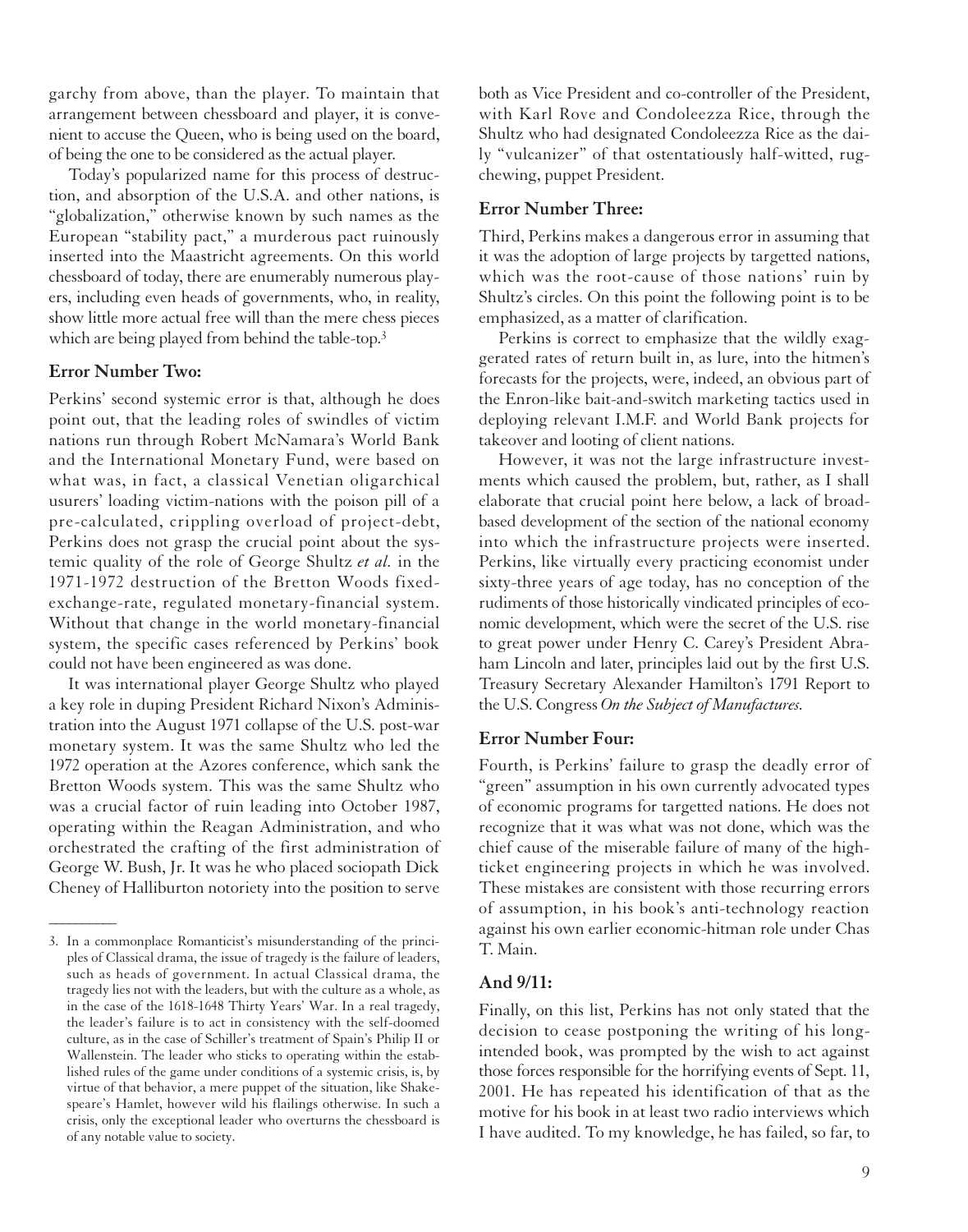garchy from above, than the player. To maintain that arrangement between chessboard and player, it is convenient to accuse the Queen, who is being used on the board, of being the one to be considered as the actual player.

Today's popularized name for this process of destruction, and absorption of the U.S.A. and other nations, is "globalization," otherwise known by such names as the European "stability pact," a murderous pact ruinously inserted into the Maastricht agreements. On this world chessboard of today, there are enumerably numerous players, including even heads of governments, who, in reality, show little more actual free will than the mere chess pieces which are being played from behind the table-top.<sup>3</sup>

### **Error Number Two:**

 $\overline{\phantom{a}}$ 

Perkins' second systemic error is that, although he does point out, that the leading roles of swindles of victim nations run through Robert McNamara's World Bank and the International Monetary Fund, were based on what was, in fact, a classical Venetian oligarchical usurers' loading victim-nations with the poison pill of a pre-calculated, crippling overload of project-debt, Perkins does not grasp the crucial point about the systemic quality of the role of George Shultz *et al.* in the 1971-1972 destruction of the Bretton Woods fixedexchange-rate, regulated monetary-financial system. Without that change in the world monetary-financial system, the specific cases referenced by Perkins' book could not have been engineered as was done.

It was international player George Shultz who played a key role in duping President Richard Nixon's Administration into the August 1971 collapse of the U.S. post-war monetary system. It was the same Shultz who led the 1972 operation at the Azores conference, which sank the Bretton Woods system. This was the same Shultz who was a crucial factor of ruin leading into October 1987, operating within the Reagan Administration, and who orchestrated the crafting of the first administration of George W. Bush, Jr. It was he who placed sociopath Dick Cheney of Halliburton notoriety into the position to serve

both as Vice President and co-controller of the President, with Karl Rove and Condoleezza Rice, through the Shultz who had designated Condoleezza Rice as the daily "vulcanizer" of that ostentatiously half-witted, rugchewing, puppet President.

### **Error Number Three:**

Third, Perkins makes a dangerous error in assuming that it was the adoption of large projects by targetted nations, which was the root-cause of those nations' ruin by Shultz's circles. On this point the following point is to be emphasized, as a matter of clarification.

Perkins is correct to emphasize that the wildly exaggerated rates of return built in, as lure, into the hitmen's forecasts for the projects, were, indeed, an obvious part of the Enron-like bait-and-switch marketing tactics used in deploying relevant I.M.F. and World Bank projects for takeover and looting of client nations.

However, it was not the large infrastructure investments which caused the problem, but, rather, as I shall elaborate that crucial point here below, a lack of broadbased development of the section of the national economy into which the infrastructure projects were inserted. Perkins, like virtually every practicing economist under sixty-three years of age today, has no conception of the rudiments of those historically vindicated principles of economic development, which were the secret of the U.S. rise to great power under Henry C. Carey's President Abraham Lincoln and later, principles laid out by the first U.S. Treasury Secretary Alexander Hamilton's 1791 Report to the U.S. Congress *On the Subject of Manufactures.*

#### **Error Number Four:**

Fourth, is Perkins' failure to grasp the deadly error of "green" assumption in his own currently advocated types of economic programs for targetted nations. He does not recognize that it was what was not done, which was the chief cause of the miserable failure of many of the highticket engineering projects in which he was involved. These mistakes are consistent with those recurring errors of assumption, in his book's anti-technology reaction against his own earlier economic-hitman role under Chas T. Main.

#### **And 9/11:**

Finally, on this list, Perkins has not only stated that the decision to cease postponing the writing of his longintended book, was prompted by the wish to act against those forces responsible for the horrifying events of Sept. 11, 2001. He has repeated his identification of that as the motive for his book in at least two radio interviews which I have audited. To my knowledge, he has failed, so far, to

<sup>3.</sup> In a commonplace Romanticist's misunderstanding of the principles of Classical drama, the issue of tragedy is the failure of leaders, such as heads of government. In actual Classical drama, the tragedy lies not with the leaders, but with the culture as a whole, as in the case of the 1618-1648 Thirty Years' War. In a real tragedy, the leader's failure is to act in consistency with the self-doomed culture, as in the case of Schiller's treatment of Spain's Philip II or Wallenstein. The leader who sticks to operating within the established rules of the game under conditions of a systemic crisis, is, by virtue of that behavior, a mere puppet of the situation, like Shakespeare's Hamlet, however wild his flailings otherwise. In such a crisis, only the exceptional leader who overturns the chessboard is of any notable value to society.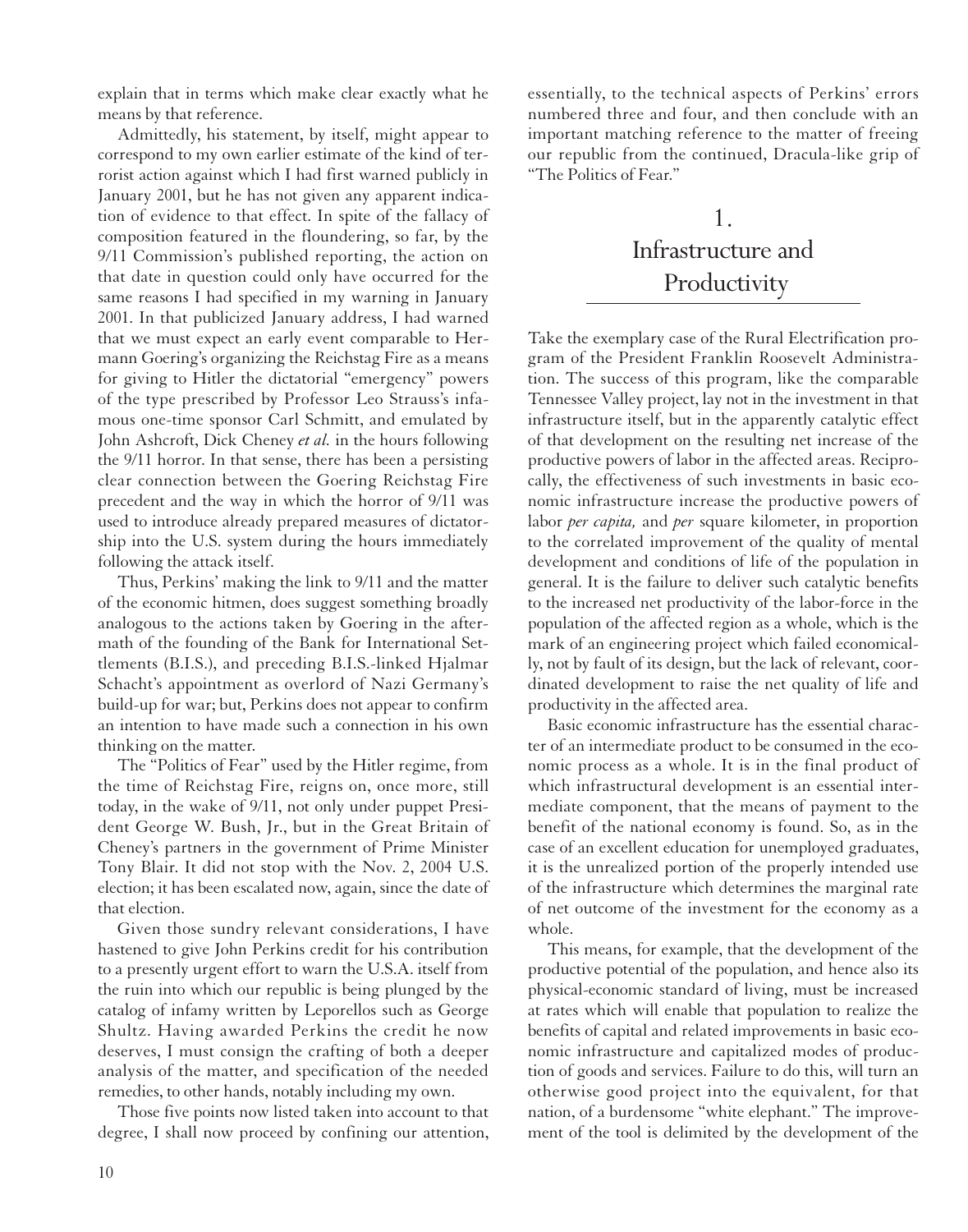explain that in terms which make clear exactly what he means by that reference.

Admittedly, his statement, by itself, might appear to correspond to my own earlier estimate of the kind of terrorist action against which I had first warned publicly in January 2001, but he has not given any apparent indication of evidence to that effect. In spite of the fallacy of composition featured in the floundering, so far, by the 9/11 Commission's published reporting, the action on that date in question could only have occurred for the same reasons I had specified in my warning in January 2001. In that publicized January address, I had warned that we must expect an early event comparable to Hermann Goering's organizing the Reichstag Fire as a means for giving to Hitler the dictatorial "emergency" powers of the type prescribed by Professor Leo Strauss's infamous one-time sponsor Carl Schmitt, and emulated by John Ashcroft, Dick Cheney *et al.* in the hours following the 9/11 horror. In that sense, there has been a persisting clear connection between the Goering Reichstag Fire precedent and the way in which the horror of 9/11 was used to introduce already prepared measures of dictatorship into the U.S. system during the hours immediately following the attack itself.

Thus, Perkins' making the link to 9/11 and the matter of the economic hitmen, does suggest something broadly analogous to the actions taken by Goering in the aftermath of the founding of the Bank for International Settlements (B.I.S.), and preceding B.I.S.-linked Hjalmar Schacht's appointment as overlord of Nazi Germany's build-up for war; but, Perkins does not appear to confirm an intention to have made such a connection in his own thinking on the matter.

The "Politics of Fear" used by the Hitler regime, from the time of Reichstag Fire, reigns on, once more, still today, in the wake of 9/11, not only under puppet President George W. Bush, Jr., but in the Great Britain of Cheney's partners in the government of Prime Minister Tony Blair. It did not stop with the Nov. 2, 2004 U.S. election; it has been escalated now, again, since the date of that election.

Given those sundry relevant considerations, I have hastened to give John Perkins credit for his contribution to a presently urgent effort to warn the U.S.A. itself from the ruin into which our republic is being plunged by the catalog of infamy written by Leporellos such as George Shultz. Having awarded Perkins the credit he now deserves, I must consign the crafting of both a deeper analysis of the matter, and specification of the needed remedies, to other hands, notably including my own.

Those five points now listed taken into account to that degree, I shall now proceed by confining our attention, essentially, to the technical aspects of Perkins' errors numbered three and four, and then conclude with an important matching reference to the matter of freeing our republic from the continued, Dracula-like grip of "The Politics of Fear."

## 1.

## Infrastructure and **Productivity**

Take the exemplary case of the Rural Electrification program of the President Franklin Roosevelt Administration. The success of this program, like the comparable Tennessee Valley project, lay not in the investment in that infrastructure itself, but in the apparently catalytic effect of that development on the resulting net increase of the productive powers of labor in the affected areas. Reciprocally, the effectiveness of such investments in basic economic infrastructure increase the productive powers of labor *per capita,* and *per* square kilometer, in proportion to the correlated improvement of the quality of mental development and conditions of life of the population in general. It is the failure to deliver such catalytic benefits to the increased net productivity of the labor-force in the population of the affected region as a whole, which is the mark of an engineering project which failed economically, not by fault of its design, but the lack of relevant, coordinated development to raise the net quality of life and productivity in the affected area.

Basic economic infrastructure has the essential character of an intermediate product to be consumed in the economic process as a whole. It is in the final product of which infrastructural development is an essential intermediate component, that the means of payment to the benefit of the national economy is found. So, as in the case of an excellent education for unemployed graduates, it is the unrealized portion of the properly intended use of the infrastructure which determines the marginal rate of net outcome of the investment for the economy as a whole.

This means, for example, that the development of the productive potential of the population, and hence also its physical-economic standard of living, must be increased at rates which will enable that population to realize the benefits of capital and related improvements in basic economic infrastructure and capitalized modes of production of goods and services. Failure to do this, will turn an otherwise good project into the equivalent, for that nation, of a burdensome "white elephant." The improvement of the tool is delimited by the development of the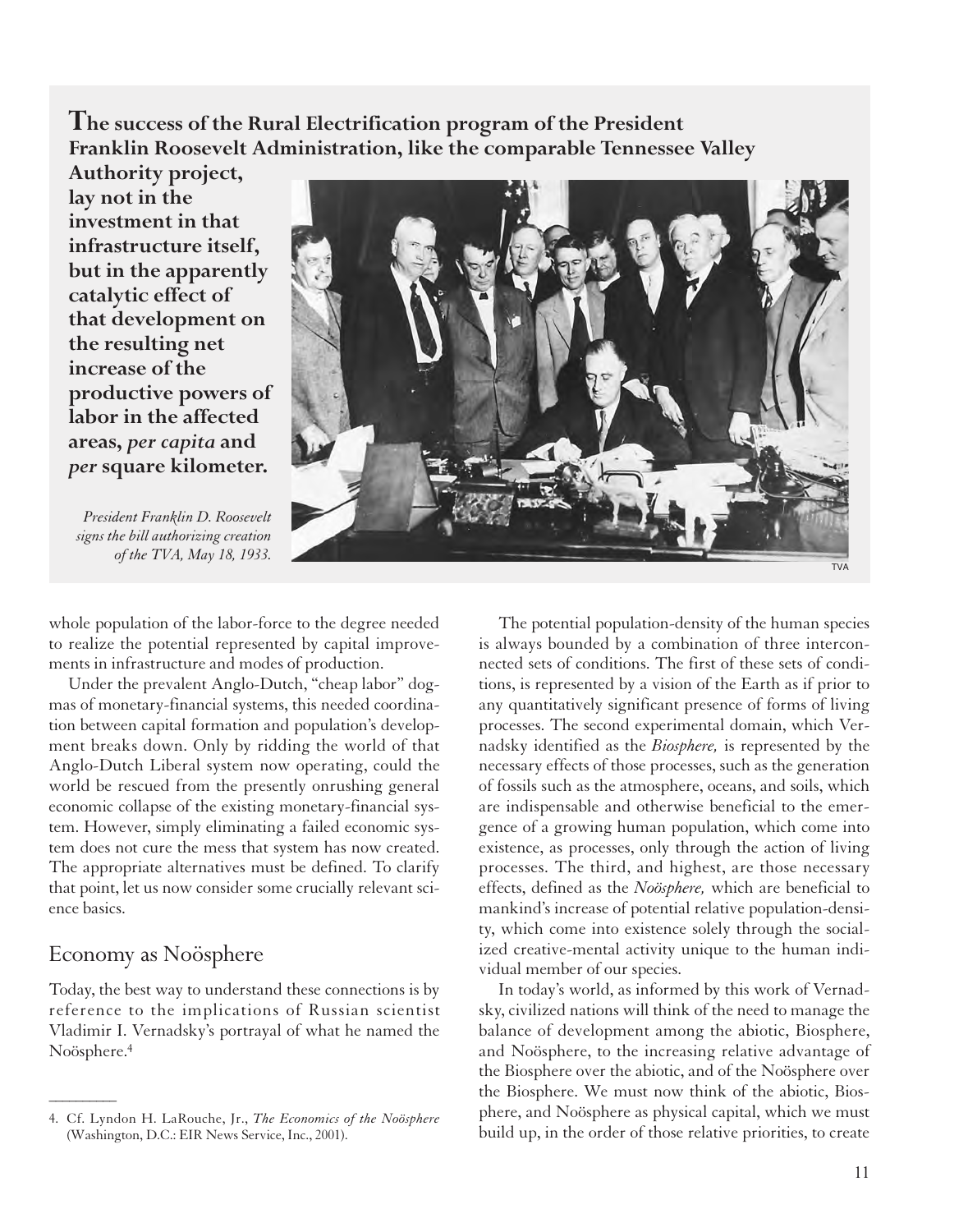**The success of the Rural Electrification program of the President Franklin Roosevelt Administration, like the comparable Tennessee Valley**

**Authority project, lay not in the investment in that infrastructure itself, but in the apparently catalytic effect of that development on the resulting net increase of the productive powers of labor in the affected areas,** *per capita* **and** *per* **square kilometer.**

*President Franklin D. Roosevelt signs the bill authorizing creation*



whole population of the labor-force to the degree needed to realize the potential represented by capital improvements in infrastructure and modes of production.

Under the prevalent Anglo-Dutch, "cheap labor" dogmas of monetary-financial systems, this needed coordination between capital formation and population's development breaks down. Only by ridding the world of that Anglo-Dutch Liberal system now operating, could the world be rescued from the presently onrushing general economic collapse of the existing monetary-financial system. However, simply eliminating a failed economic system does not cure the mess that system has now created. The appropriate alternatives must be defined. To clarify that point, let us now consider some crucially relevant science basics.

## Economy as Noösphere

 $\overline{\phantom{a}}$ 

Today, the best way to understand these connections is by reference to the implications of Russian scientist Vladimir I. Vernadsky's portrayal of what he named the Noösphere.4

The potential population-density of the human species is always bounded by a combination of three interconnected sets of conditions. The first of these sets of conditions, is represented by a vision of the Earth as if prior to any quantitatively significant presence of forms of living processes. The second experimental domain, which Vernadsky identified as the *Biosphere,* is represented by the necessary effects of those processes, such as the generation of fossils such as the atmosphere, oceans, and soils, which are indispensable and otherwise beneficial to the emergence of a growing human population, which come into existence, as processes, only through the action of living processes. The third, and highest, are those necessary effects, defined as the *Noösphere,* which are beneficial to mankind's increase of potential relative population-density, which come into existence solely through the socialized creative-mental activity unique to the human individual member of our species.

In today's world, as informed by this work of Vernadsky, civilized nations will think of the need to manage the balance of development among the abiotic, Biosphere, and Noösphere, to the increasing relative advantage of the Biosphere over the abiotic, and of the Noösphere over the Biosphere. We must now think of the abiotic, Biosphere, and Noösphere as physical capital, which we must build up, in the order of those relative priorities, to create

<sup>4.</sup> Cf. Lyndon H. LaRouche, Jr., *The Economics of the Noösphere* (Washington, D.C.: EIR News Service, Inc., 2001).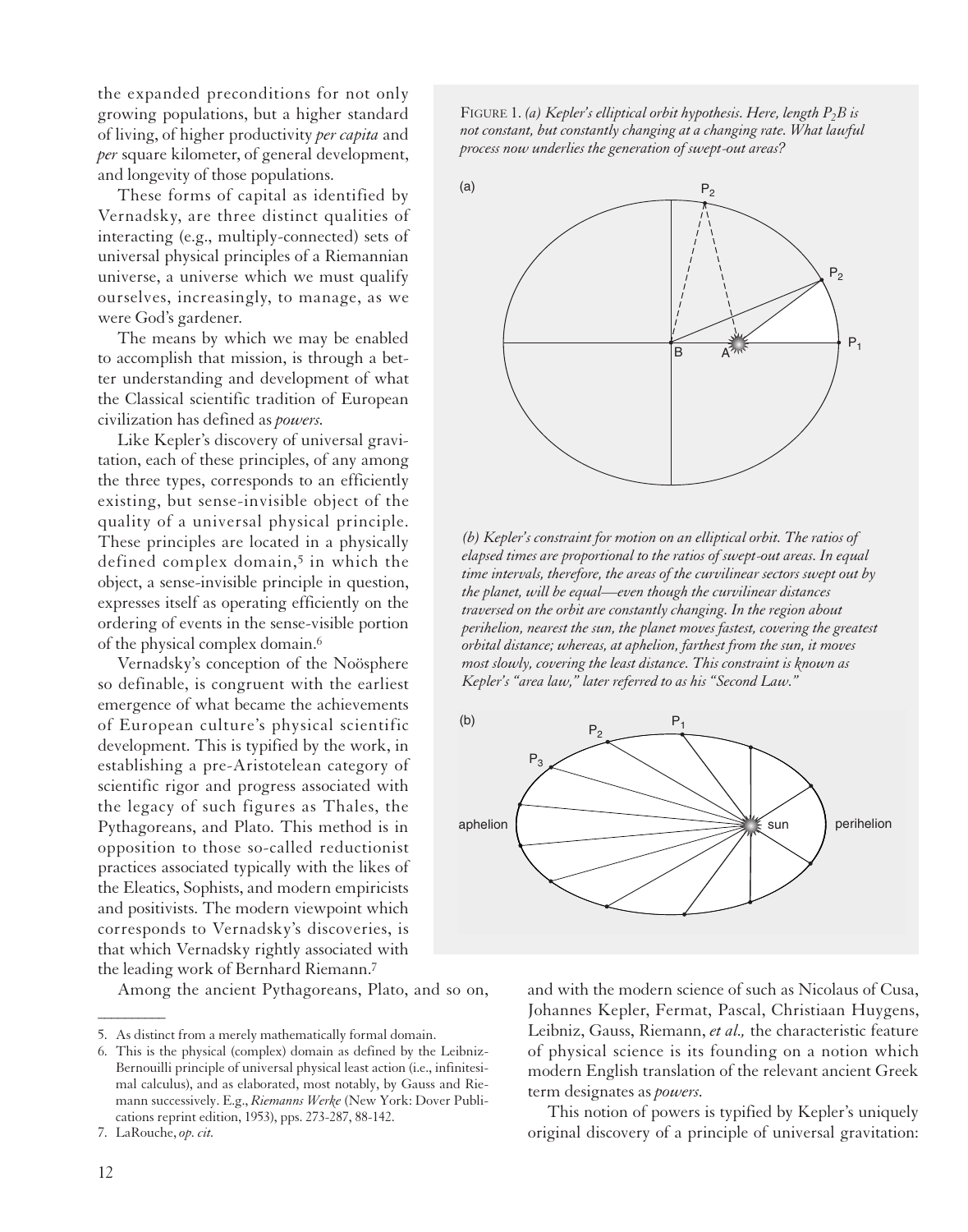the expanded preconditions for not only growing populations, but a higher standard of living, of higher productivity *per capita* and *per* square kilometer, of general development, and longevity of those populations.

These forms of capital as identified by Vernadsky, are three distinct qualities of interacting (e.g., multiply-connected) sets of universal physical principles of a Riemannian universe, a universe which we must qualify ourselves, increasingly, to manage, as we were God's gardener.

The means by which we may be enabled to accomplish that mission, is through a better understanding and development of what the Classical scientific tradition of European civilization has defined as *powers.*

Like Kepler's discovery of universal gravitation, each of these principles, of any among the three types, corresponds to an efficiently existing, but sense-invisible object of the quality of a universal physical principle. These principles are located in a physically defined complex domain,<sup>5</sup> in which the object, a sense-invisible principle in question, expresses itself as operating efficiently on the ordering of events in the sense-visible portion of the physical complex domain.6

Vernadsky's conception of the Noösphere so definable, is congruent with the earliest emergence of what became the achievements of European culture's physical scientific development. This is typified by the work, in establishing a pre-Aristotelean category of scientific rigor and progress associated with the legacy of such figures as Thales, the Pythagoreans, and Plato. This method is in opposition to those so-called reductionist practices associated typically with the likes of the Eleatics, Sophists, and modern empiricists and positivists. The modern viewpoint which corresponds to Vernadsky's discoveries, is that which Vernadsky rightly associated with the leading work of Bernhard Riemann.7

 $\overline{\phantom{a}}$ 

FIGURE 1. *(a) Kepler's elliptical orbit hypothesis. Here, length P<sub>2</sub>B is not constant, but constantly changing at a changing rate. What lawful process now underlies the generation of swept-out areas?*



*(b) Kepler's constraint for motion on an elliptical orbit. The ratios of elapsed times are proportional to the ratios of swept-out areas. In equal time intervals, therefore, the areas of the curvilinear sectors swept out by the planet, will be equal—even though the curvilinear distances traversed on the orbit are constantly changing. In the region about perihelion, nearest the sun, the planet moves fastest, covering the greatest orbital distance; whereas, at aphelion, farthest from the sun, it moves most slowly, covering the least distance. This constraint is known as Kepler's "area law," later referred to as his "Second Law."*



Among the ancient Pythagoreans, Plato, and so on, and with the modern science of such as Nicolaus of Cusa, Johannes Kepler, Fermat, Pascal, Christiaan Huygens, Leibniz, Gauss, Riemann, *et al.,* the characteristic feature of physical science is its founding on a notion which modern English translation of the relevant ancient Greek term designates as *powers.*

> This notion of powers is typified by Kepler's uniquely original discovery of a principle of universal gravitation:

<sup>5.</sup> As distinct from a merely mathematically formal domain.

<sup>6.</sup> This is the physical (complex) domain as defined by the Leibniz-Bernouilli principle of universal physical least action (i.e., infinitesimal calculus), and as elaborated, most notably, by Gauss and Riemann successively. E.g., *Riemanns Werke* (New York: Dover Publications reprint edition, 1953), pps. 273-287, 88-142.

<sup>7.</sup> LaRouche, *op. cit.*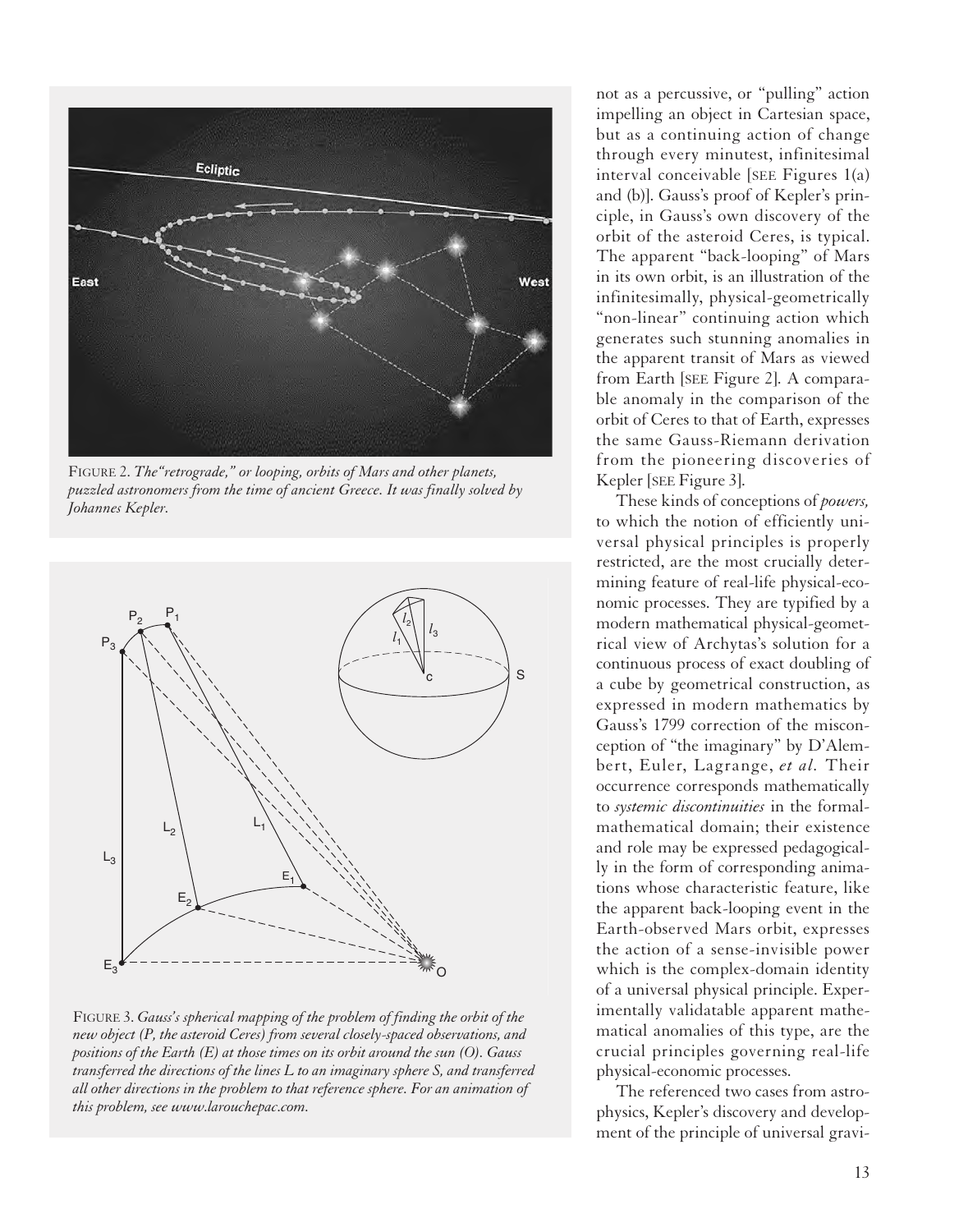

FIGURE 2. *The"retrograde," or looping, orbits of Mars and other planets, puzzled astronomers from the time of ancient Greece. It was finally solved by Johannes Kepler.*



FIGURE 3. *Gauss's spherical mapping of the problem of finding the orbit of the new object (P, the asteroid Ceres) from several closely-spaced observations, and positions of the Earth (E) at those times on its orbit around the sun (O). Gauss transferred the directions of the lines L to an imaginary sphere S, and transferred all other directions in the problem to that reference sphere. For an animation of this problem, see www.larouchepac.com.*

not as a percussive, or "pulling" action impelling an object in Cartesian space, but as a continuing action of change through every minutest, infinitesimal interval conceivable [SEE Figures 1(a) and (b)]. Gauss's proof of Kepler's principle, in Gauss's own discovery of the orbit of the asteroid Ceres, is typical. The apparent "back-looping" of Mars in its own orbit, is an illustration of the infinitesimally, physical-geometrically "non-linear" continuing action which generates such stunning anomalies in the apparent transit of Mars as viewed from Earth [SEE Figure 2]. A comparable anomaly in the comparison of the orbit of Ceres to that of Earth, expresses the same Gauss-Riemann derivation from the pioneering discoveries of Kepler [SEE Figure 3].

These kinds of conceptions of *powers,* to which the notion of efficiently universal physical principles is properly restricted, are the most crucially determining feature of real-life physical-economic processes. They are typified by a modern mathematical physical-geometrical view of Archytas's solution for a continuous process of exact doubling of a cube by geometrical construction, as expressed in modern mathematics by Gauss's 1799 correction of the misconception of "the imaginary" by D'Alembert, Euler, Lagrange, *et al.* Their occurrence corresponds mathematically to *systemic discontinuities* in the formalmathematical domain; their existence and role may be expressed pedagogically in the form of corresponding animations whose characteristic feature, like the apparent back-looping event in the Earth-observed Mars orbit, expresses the action of a sense-invisible power which is the complex-domain identity of a universal physical principle. Experimentally validatable apparent mathematical anomalies of this type, are the crucial principles governing real-life physical-economic processes.

The referenced two cases from astrophysics, Kepler's discovery and development of the principle of universal gravi-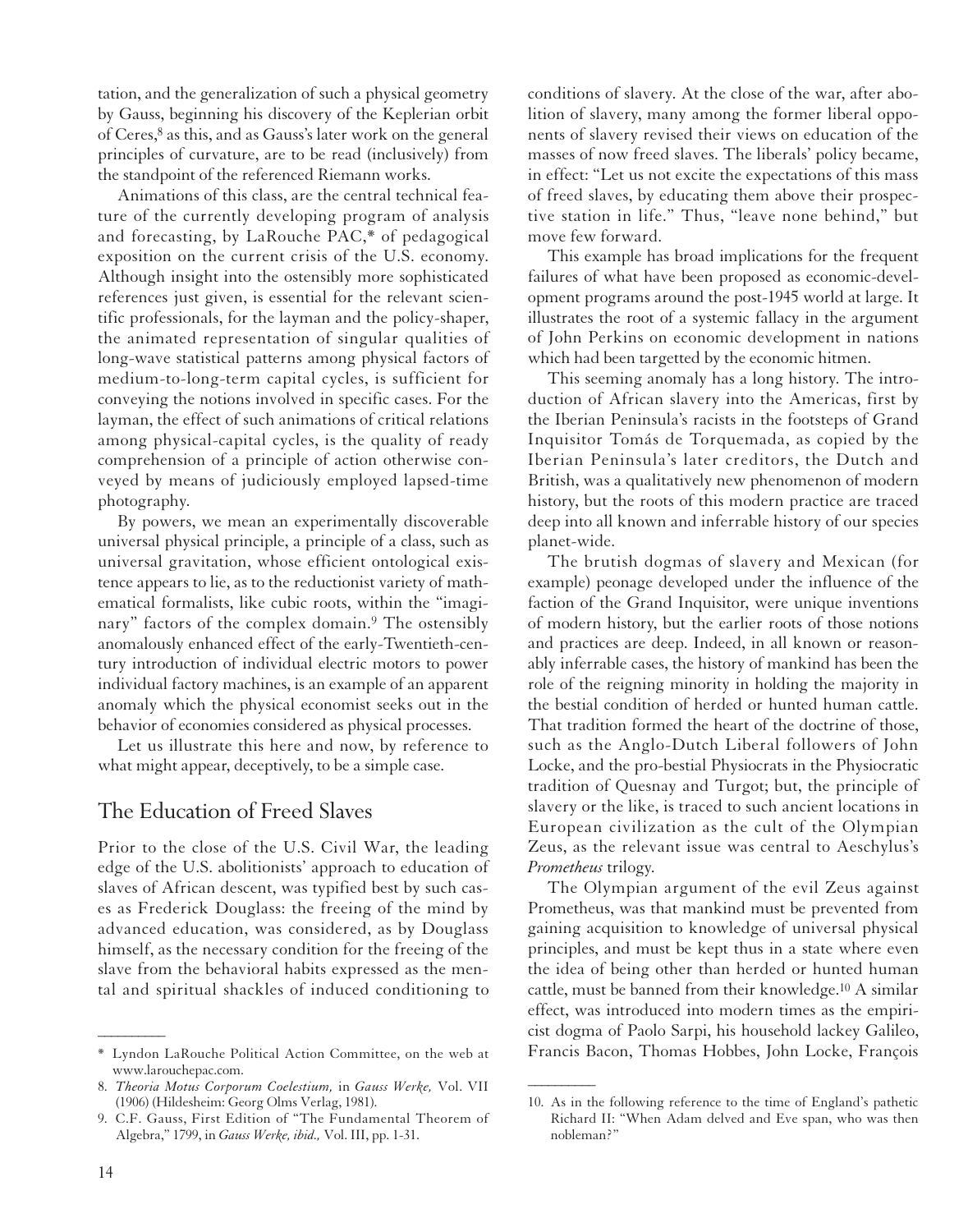tation, and the generalization of such a physical geometry by Gauss, beginning his discovery of the Keplerian orbit of Ceres,8 as this, and as Gauss's later work on the general principles of curvature, are to be read (inclusively) from the standpoint of the referenced Riemann works.

Animations of this class, are the central technical feature of the currently developing program of analysis and forecasting, by LaRouche PAC,\* of pedagogical exposition on the current crisis of the U.S. economy. Although insight into the ostensibly more sophisticated references just given, is essential for the relevant scientific professionals, for the layman and the policy-shaper, the animated representation of singular qualities of long-wave statistical patterns among physical factors of medium-to-long-term capital cycles, is sufficient for conveying the notions involved in specific cases. For the layman, the effect of such animations of critical relations among physical-capital cycles, is the quality of ready comprehension of a principle of action otherwise conveyed by means of judiciously employed lapsed-time photography.

By powers, we mean an experimentally discoverable universal physical principle, a principle of a class, such as universal gravitation, whose efficient ontological existence appears to lie, as to the reductionist variety of mathematical formalists, like cubic roots, within the "imaginary" factors of the complex domain.9 The ostensibly anomalously enhanced effect of the early-Twentieth-century introduction of individual electric motors to power individual factory machines, is an example of an apparent anomaly which the physical economist seeks out in the behavior of economies considered as physical processes.

Let us illustrate this here and now, by reference to what might appear, deceptively, to be a simple case.

## The Education of Freed Slaves

Prior to the close of the U.S. Civil War, the leading edge of the U.S. abolitionists' approach to education of slaves of African descent, was typified best by such cases as Frederick Douglass: the freeing of the mind by advanced education, was considered, as by Douglass himself, as the necessary condition for the freeing of the slave from the behavioral habits expressed as the mental and spiritual shackles of induced conditioning to conditions of slavery. At the close of the war, after abolition of slavery, many among the former liberal opponents of slavery revised their views on education of the masses of now freed slaves. The liberals' policy became, in effect: "Let us not excite the expectations of this mass of freed slaves, by educating them above their prospective station in life." Thus, "leave none behind," but move few forward.

This example has broad implications for the frequent failures of what have been proposed as economic-development programs around the post-1945 world at large. It illustrates the root of a systemic fallacy in the argument of John Perkins on economic development in nations which had been targetted by the economic hitmen.

This seeming anomaly has a long history. The introduction of African slavery into the Americas, first by the Iberian Peninsula's racists in the footsteps of Grand Inquisitor Tomás de Torquemada, as copied by the Iberian Peninsula's later creditors, the Dutch and British, was a qualitatively new phenomenon of modern history, but the roots of this modern practice are traced deep into all known and inferrable history of our species planet-wide.

The brutish dogmas of slavery and Mexican (for example) peonage developed under the influence of the faction of the Grand Inquisitor, were unique inventions of modern history, but the earlier roots of those notions and practices are deep. Indeed, in all known or reasonably inferrable cases, the history of mankind has been the role of the reigning minority in holding the majority in the bestial condition of herded or hunted human cattle. That tradition formed the heart of the doctrine of those, such as the Anglo-Dutch Liberal followers of John Locke, and the pro-bestial Physiocrats in the Physiocratic tradition of Quesnay and Turgot; but, the principle of slavery or the like, is traced to such ancient locations in European civilization as the cult of the Olympian Zeus, as the relevant issue was central to Aeschylus's *Prometheus* trilogy.

The Olympian argument of the evil Zeus against Prometheus, was that mankind must be prevented from gaining acquisition to knowledge of universal physical principles, and must be kept thus in a state where even the idea of being other than herded or hunted human cattle, must be banned from their knowledge.10 A similar effect, was introduced into modern times as the empiricist dogma of Paolo Sarpi, his household lackey Galileo, Francis Bacon, Thomas Hobbes, John Locke, François

 $\overline{\phantom{a}}$ 

 $\overline{\phantom{a}}$ 

<sup>\*</sup> Lyndon LaRouche Political Action Committee, on the web at www.larouchepac.com.

<sup>8.</sup> *Theoria Motus Corporum Coelestium,* in *Gauss Werke,* Vol. VII (1906) (Hildesheim: Georg Olms Verlag, 1981).

<sup>9.</sup> C.F. Gauss, First Edition of "The Fundamental Theorem of Algebra," 1799, in *Gauss Werke, ibid.,* Vol. III, pp. 1-31.

<sup>10.</sup> As in the following reference to the time of England's pathetic Richard II: "When Adam delved and Eve span, who was then nobleman?"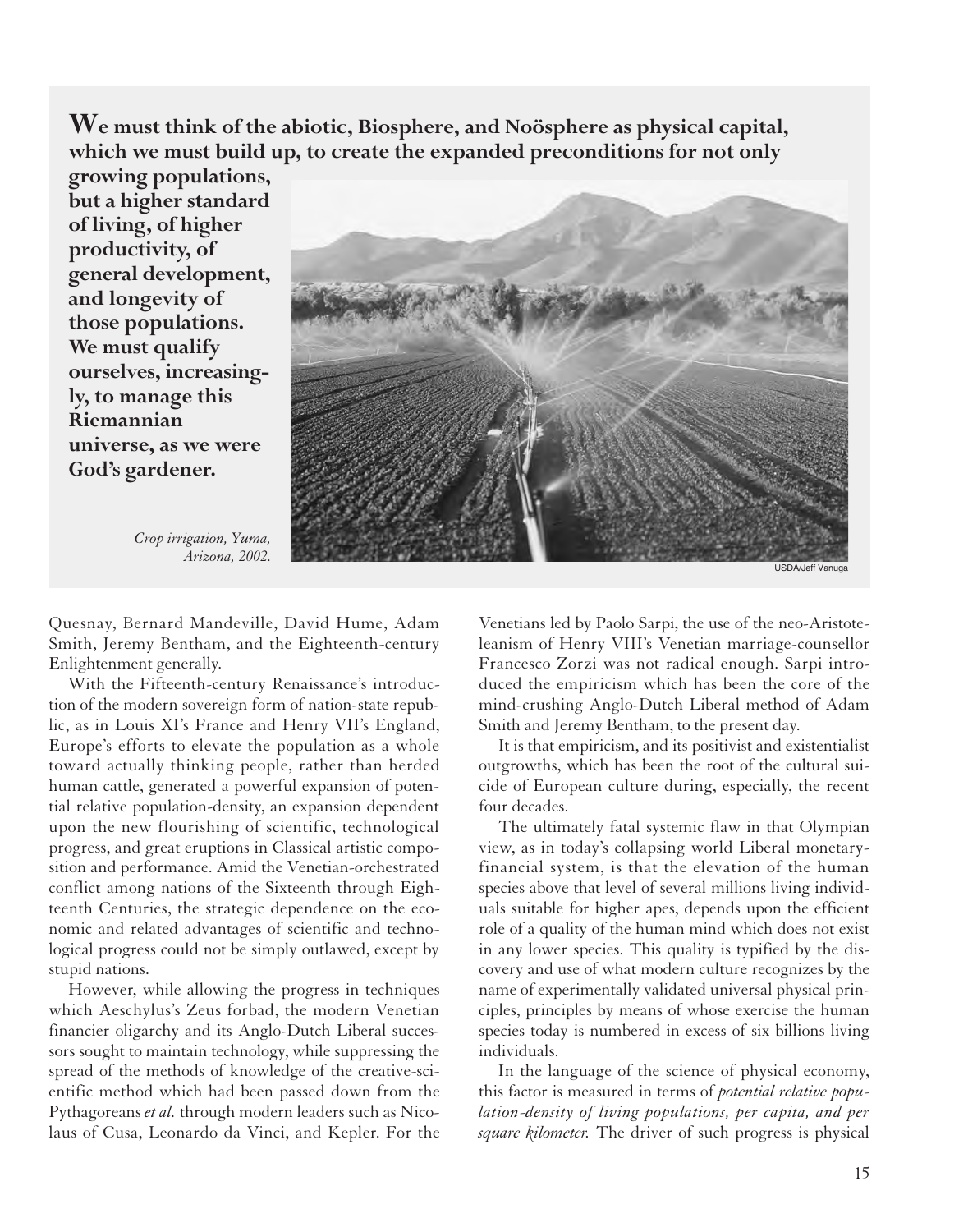**We must think of the abiotic, Biosphere, and Noösphere as physical capital, which we must build up, to create the expanded preconditions for not only**

**growing populations, but a higher standard of living, of higher productivity, of general development, and longevity of those populations. We must qualify ourselves, increasingly, to manage this Riemannian universe, as we were God's gardener.**

*Crop irrigation, Yuma, Arizona, 2002.*



Quesnay, Bernard Mandeville, David Hume, Adam Smith, Jeremy Bentham, and the Eighteenth-century Enlightenment generally.

With the Fifteenth-century Renaissance's introduction of the modern sovereign form of nation-state republic, as in Louis XI's France and Henry VII's England, Europe's efforts to elevate the population as a whole toward actually thinking people, rather than herded human cattle, generated a powerful expansion of potential relative population-density, an expansion dependent upon the new flourishing of scientific, technological progress, and great eruptions in Classical artistic composition and performance. Amid the Venetian-orchestrated conflict among nations of the Sixteenth through Eighteenth Centuries, the strategic dependence on the economic and related advantages of scientific and technological progress could not be simply outlawed, except by stupid nations.

However, while allowing the progress in techniques which Aeschylus's Zeus forbad, the modern Venetian financier oligarchy and its Anglo-Dutch Liberal successors sought to maintain technology, while suppressing the spread of the methods of knowledge of the creative-scientific method which had been passed down from the Pythagoreans *et al.* through modern leaders such as Nicolaus of Cusa, Leonardo da Vinci, and Kepler. For the Venetians led by Paolo Sarpi, the use of the neo-Aristoteleanism of Henry VIII's Venetian marriage-counsellor Francesco Zorzi was not radical enough. Sarpi introduced the empiricism which has been the core of the mind-crushing Anglo-Dutch Liberal method of Adam Smith and Jeremy Bentham, to the present day.

It is that empiricism, and its positivist and existentialist outgrowths, which has been the root of the cultural suicide of European culture during, especially, the recent four decades.

The ultimately fatal systemic flaw in that Olympian view, as in today's collapsing world Liberal monetaryfinancial system, is that the elevation of the human species above that level of several millions living individuals suitable for higher apes, depends upon the efficient role of a quality of the human mind which does not exist in any lower species. This quality is typified by the discovery and use of what modern culture recognizes by the name of experimentally validated universal physical principles, principles by means of whose exercise the human species today is numbered in excess of six billions living individuals.

In the language of the science of physical economy, this factor is measured in terms of *potential relative population-density of living populations, per capita, and per square kilometer.* The driver of such progress is physical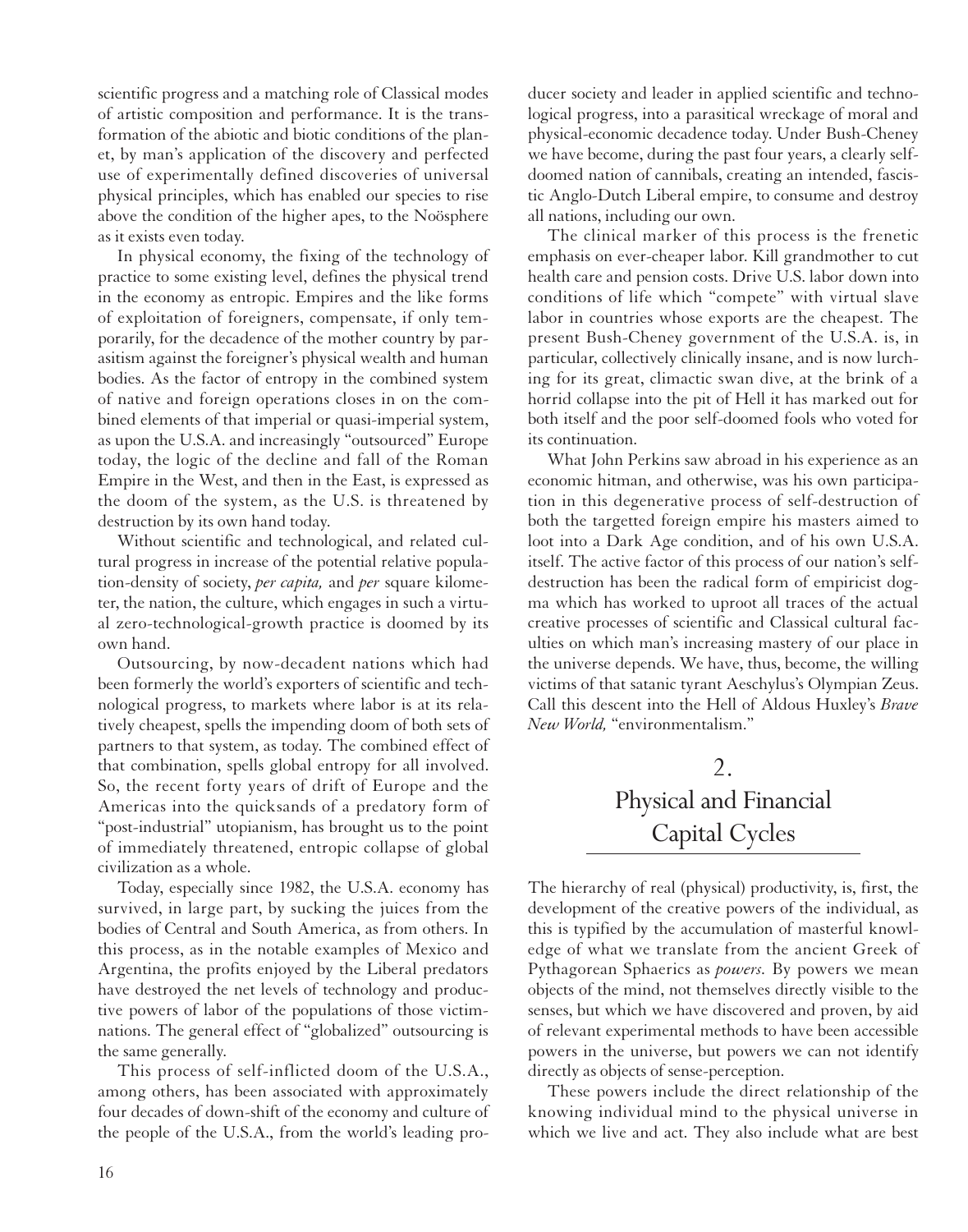scientific progress and a matching role of Classical modes of artistic composition and performance. It is the transformation of the abiotic and biotic conditions of the planet, by man's application of the discovery and perfected use of experimentally defined discoveries of universal physical principles, which has enabled our species to rise above the condition of the higher apes, to the Noösphere as it exists even today.

In physical economy, the fixing of the technology of practice to some existing level, defines the physical trend in the economy as entropic. Empires and the like forms of exploitation of foreigners, compensate, if only temporarily, for the decadence of the mother country by parasitism against the foreigner's physical wealth and human bodies. As the factor of entropy in the combined system of native and foreign operations closes in on the combined elements of that imperial or quasi-imperial system, as upon the U.S.A. and increasingly "outsourced" Europe today, the logic of the decline and fall of the Roman Empire in the West, and then in the East, is expressed as the doom of the system, as the U.S. is threatened by destruction by its own hand today.

Without scientific and technological, and related cultural progress in increase of the potential relative population-density of society, *per capita,* and *per* square kilometer, the nation, the culture, which engages in such a virtual zero-technological-growth practice is doomed by its own hand.

Outsourcing, by now-decadent nations which had been formerly the world's exporters of scientific and technological progress, to markets where labor is at its relatively cheapest, spells the impending doom of both sets of partners to that system, as today. The combined effect of that combination, spells global entropy for all involved. So, the recent forty years of drift of Europe and the Americas into the quicksands of a predatory form of "post-industrial" utopianism, has brought us to the point of immediately threatened, entropic collapse of global civilization as a whole.

Today, especially since 1982, the U.S.A. economy has survived, in large part, by sucking the juices from the bodies of Central and South America, as from others. In this process, as in the notable examples of Mexico and Argentina, the profits enjoyed by the Liberal predators have destroyed the net levels of technology and productive powers of labor of the populations of those victimnations. The general effect of "globalized" outsourcing is the same generally.

This process of self-inflicted doom of the U.S.A., among others, has been associated with approximately four decades of down-shift of the economy and culture of the people of the U.S.A., from the world's leading pro-

ducer society and leader in applied scientific and technological progress, into a parasitical wreckage of moral and physical-economic decadence today. Under Bush-Cheney we have become, during the past four years, a clearly selfdoomed nation of cannibals, creating an intended, fascistic Anglo-Dutch Liberal empire, to consume and destroy all nations, including our own.

The clinical marker of this process is the frenetic emphasis on ever-cheaper labor. Kill grandmother to cut health care and pension costs. Drive U.S. labor down into conditions of life which "compete" with virtual slave labor in countries whose exports are the cheapest. The present Bush-Cheney government of the U.S.A. is, in particular, collectively clinically insane, and is now lurching for its great, climactic swan dive, at the brink of a horrid collapse into the pit of Hell it has marked out for both itself and the poor self-doomed fools who voted for its continuation.

What John Perkins saw abroad in his experience as an economic hitman, and otherwise, was his own participation in this degenerative process of self-destruction of both the targetted foreign empire his masters aimed to loot into a Dark Age condition, and of his own U.S.A. itself. The active factor of this process of our nation's selfdestruction has been the radical form of empiricist dogma which has worked to uproot all traces of the actual creative processes of scientific and Classical cultural faculties on which man's increasing mastery of our place in the universe depends. We have, thus, become, the willing victims of that satanic tyrant Aeschylus's Olympian Zeus. Call this descent into the Hell of Aldous Huxley's *Brave New World,* "environmentalism."

# 2. Physical and Financial Capital Cycles

The hierarchy of real (physical) productivity, is, first, the development of the creative powers of the individual, as this is typified by the accumulation of masterful knowledge of what we translate from the ancient Greek of Pythagorean Sphaerics as *powers.* By powers we mean objects of the mind, not themselves directly visible to the senses, but which we have discovered and proven, by aid of relevant experimental methods to have been accessible powers in the universe, but powers we can not identify directly as objects of sense-perception.

These powers include the direct relationship of the knowing individual mind to the physical universe in which we live and act. They also include what are best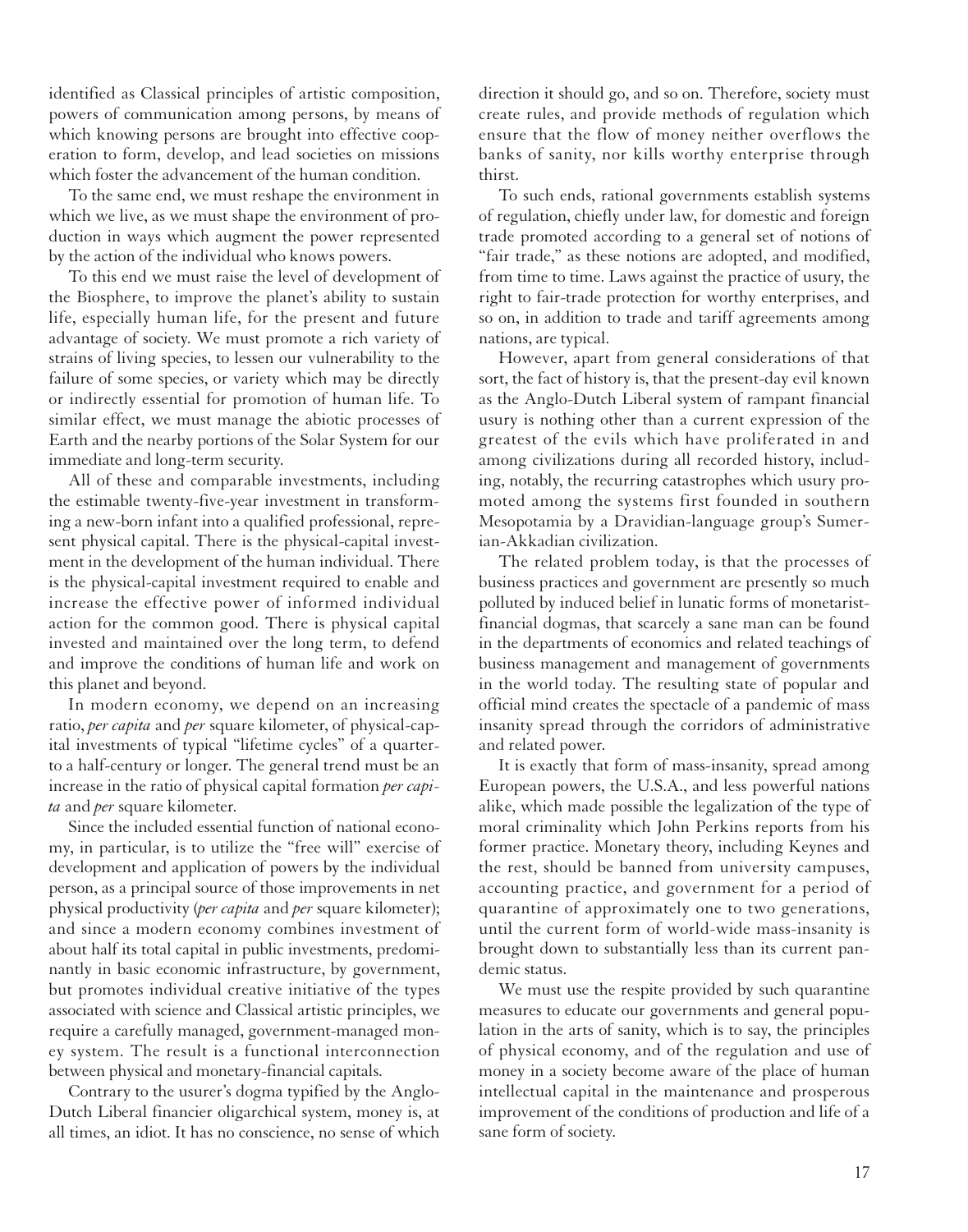identified as Classical principles of artistic composition, powers of communication among persons, by means of which knowing persons are brought into effective cooperation to form, develop, and lead societies on missions which foster the advancement of the human condition.

To the same end, we must reshape the environment in which we live, as we must shape the environment of production in ways which augment the power represented by the action of the individual who knows powers.

To this end we must raise the level of development of the Biosphere, to improve the planet's ability to sustain life, especially human life, for the present and future advantage of society. We must promote a rich variety of strains of living species, to lessen our vulnerability to the failure of some species, or variety which may be directly or indirectly essential for promotion of human life. To similar effect, we must manage the abiotic processes of Earth and the nearby portions of the Solar System for our immediate and long-term security.

All of these and comparable investments, including the estimable twenty-five-year investment in transforming a new-born infant into a qualified professional, represent physical capital. There is the physical-capital investment in the development of the human individual. There is the physical-capital investment required to enable and increase the effective power of informed individual action for the common good. There is physical capital invested and maintained over the long term, to defend and improve the conditions of human life and work on this planet and beyond.

In modern economy, we depend on an increasing ratio, *per capita* and *per* square kilometer, of physical-capital investments of typical "lifetime cycles" of a quarterto a half-century or longer. The general trend must be an increase in the ratio of physical capital formation *per capita* and *per* square kilometer.

Since the included essential function of national economy, in particular, is to utilize the "free will" exercise of development and application of powers by the individual person, as a principal source of those improvements in net physical productivity (*per capita* and *per* square kilometer); and since a modern economy combines investment of about half its total capital in public investments, predominantly in basic economic infrastructure, by government, but promotes individual creative initiative of the types associated with science and Classical artistic principles, we require a carefully managed, government-managed money system. The result is a functional interconnection between physical and monetary-financial capitals.

Contrary to the usurer's dogma typified by the Anglo-Dutch Liberal financier oligarchical system, money is, at all times, an idiot. It has no conscience, no sense of which direction it should go, and so on. Therefore, society must create rules, and provide methods of regulation which ensure that the flow of money neither overflows the banks of sanity, nor kills worthy enterprise through thirst.

To such ends, rational governments establish systems of regulation, chiefly under law, for domestic and foreign trade promoted according to a general set of notions of "fair trade," as these notions are adopted, and modified, from time to time. Laws against the practice of usury, the right to fair-trade protection for worthy enterprises, and so on, in addition to trade and tariff agreements among nations, are typical.

However, apart from general considerations of that sort, the fact of history is, that the present-day evil known as the Anglo-Dutch Liberal system of rampant financial usury is nothing other than a current expression of the greatest of the evils which have proliferated in and among civilizations during all recorded history, including, notably, the recurring catastrophes which usury promoted among the systems first founded in southern Mesopotamia by a Dravidian-language group's Sumerian-Akkadian civilization.

The related problem today, is that the processes of business practices and government are presently so much polluted by induced belief in lunatic forms of monetaristfinancial dogmas, that scarcely a sane man can be found in the departments of economics and related teachings of business management and management of governments in the world today. The resulting state of popular and official mind creates the spectacle of a pandemic of mass insanity spread through the corridors of administrative and related power.

It is exactly that form of mass-insanity, spread among European powers, the U.S.A., and less powerful nations alike, which made possible the legalization of the type of moral criminality which John Perkins reports from his former practice. Monetary theory, including Keynes and the rest, should be banned from university campuses, accounting practice, and government for a period of quarantine of approximately one to two generations, until the current form of world-wide mass-insanity is brought down to substantially less than its current pandemic status.

We must use the respite provided by such quarantine measures to educate our governments and general population in the arts of sanity, which is to say, the principles of physical economy, and of the regulation and use of money in a society become aware of the place of human intellectual capital in the maintenance and prosperous improvement of the conditions of production and life of a sane form of society.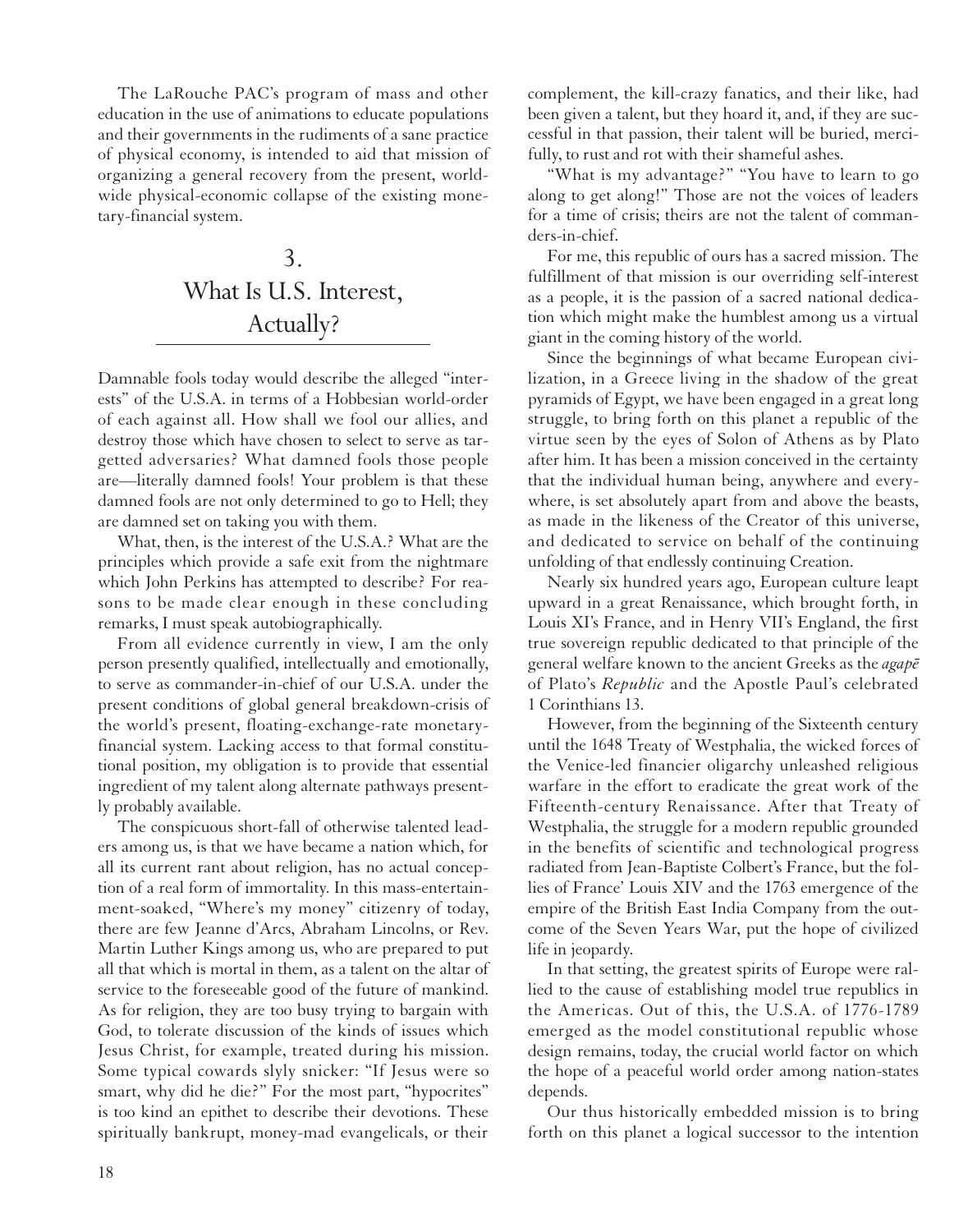The LaRouche PAC's program of mass and other education in the use of animations to educate populations and their governments in the rudiments of a sane practice of physical economy, is intended to aid that mission of organizing a general recovery from the present, worldwide physical-economic collapse of the existing monetary-financial system.

## 3. What Is U.S. Interest, Actually?

Damnable fools today would describe the alleged "interests" of the U.S.A. in terms of a Hobbesian world-order of each against all. How shall we fool our allies, and destroy those which have chosen to select to serve as targetted adversaries? What damned fools those people are—literally damned fools! Your problem is that these damned fools are not only determined to go to Hell; they are damned set on taking you with them.

What, then, is the interest of the U.S.A.? What are the principles which provide a safe exit from the nightmare which John Perkins has attempted to describe? For reasons to be made clear enough in these concluding remarks, I must speak autobiographically.

From all evidence currently in view, I am the only person presently qualified, intellectually and emotionally, to serve as commander-in-chief of our U.S.A. under the present conditions of global general breakdown-crisis of the world's present, floating-exchange-rate monetaryfinancial system. Lacking access to that formal constitutional position, my obligation is to provide that essential ingredient of my talent along alternate pathways presently probably available.

The conspicuous short-fall of otherwise talented leaders among us, is that we have became a nation which, for all its current rant about religion, has no actual conception of a real form of immortality. In this mass-entertainment-soaked, "Where's my money" citizenry of today, there are few Jeanne d'Arcs, Abraham Lincolns, or Rev. Martin Luther Kings among us, who are prepared to put all that which is mortal in them, as a talent on the altar of service to the foreseeable good of the future of mankind. As for religion, they are too busy trying to bargain with God, to tolerate discussion of the kinds of issues which Jesus Christ, for example, treated during his mission. Some typical cowards slyly snicker: "If Jesus were so smart, why did he die?" For the most part, "hypocrites" is too kind an epithet to describe their devotions. These spiritually bankrupt, money-mad evangelicals, or their complement, the kill-crazy fanatics, and their like, had been given a talent, but they hoard it, and, if they are successful in that passion, their talent will be buried, mercifully, to rust and rot with their shameful ashes.

"What is my advantage?" "You have to learn to go along to get along!" Those are not the voices of leaders for a time of crisis; theirs are not the talent of commanders-in-chief.

For me, this republic of ours has a sacred mission. The fulfillment of that mission is our overriding self-interest as a people, it is the passion of a sacred national dedication which might make the humblest among us a virtual giant in the coming history of the world.

Since the beginnings of what became European civilization, in a Greece living in the shadow of the great pyramids of Egypt, we have been engaged in a great long struggle, to bring forth on this planet a republic of the virtue seen by the eyes of Solon of Athens as by Plato after him. It has been a mission conceived in the certainty that the individual human being, anywhere and everywhere, is set absolutely apart from and above the beasts, as made in the likeness of the Creator of this universe, and dedicated to service on behalf of the continuing unfolding of that endlessly continuing Creation.

Nearly six hundred years ago, European culture leapt upward in a great Renaissance, which brought forth, in Louis XI's France, and in Henry VII's England, the first true sovereign republic dedicated to that principle of the general welfare known to the ancient Greeks as the *agape* of Plato's *Republic* and the Apostle Paul's celebrated 1 Corinthians 13.

However, from the beginning of the Sixteenth century until the 1648 Treaty of Westphalia, the wicked forces of the Venice-led financier oligarchy unleashed religious warfare in the effort to eradicate the great work of the Fifteenth-century Renaissance. After that Treaty of Westphalia, the struggle for a modern republic grounded in the benefits of scientific and technological progress radiated from Jean-Baptiste Colbert's France, but the follies of France' Louis XIV and the 1763 emergence of the empire of the British East India Company from the outcome of the Seven Years War, put the hope of civilized life in jeopardy.

In that setting, the greatest spirits of Europe were rallied to the cause of establishing model true republics in the Americas. Out of this, the U.S.A. of 1776-1789 emerged as the model constitutional republic whose design remains, today, the crucial world factor on which the hope of a peaceful world order among nation-states depends.

Our thus historically embedded mission is to bring forth on this planet a logical successor to the intention